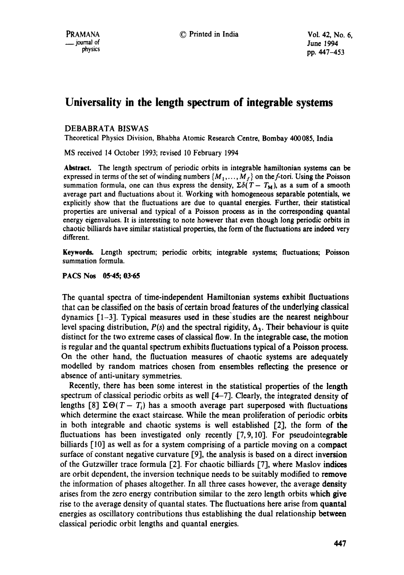# **Universality in the length spectrum of integrable systems**

## DEBABRATA BISWAS

Theoretical Physics Division, Bhabha Atomic Research Centre, Bombay 400085, India

MS received 14 October 1993; revised 10 February 1994

**Abstract.** The length spectrum of periodic orbits in integrable hamiltonian **systems can** be expressed in terms of the set of winding numbers  $\{M_1, \ldots, M_f\}$  on the f-tori. Using the Poisson summation formula, one can thus express the density,  $\Sigma \delta(T - T_M)$ , as a sum of a smooth average part and fluctuations about it. Working with homogeneous separable potentials, we explicitly show that the fluctuations are due to quantal energies. Further, their statistical properties are universal and typical of a Poisson process as in the corresponding quantal energy eigenvalues. It is interesting to note however that even though long periodic orbits in chaotic billiards have similar statistical properties, the form of the fluctuations are indeed very different.

Keywords. Length spectrum; periodic orbits; integrable systems; fluctuations; Poisson summation formula.

### **PACS Nos 05.45; 03.65**

The quantal spectra of time-independent Hamiltonian systems exhibit fluctuations that can be classified on the basis of certain broad features of the underlying classical dynamics [1-3]. Typical measures used in these'studies are the nearest neighbour level spacing distribution,  $P(s)$  and the spectral rigidity,  $\Delta_3$ . Their behaviour is quite distinct for the two extreme cases of classical flow. In the integrable case, the motion is regular and the quantal spectrum exhibits fluctuations typical of a Poisson process. On the other hand, the fluctuation measures of chaotic systems are adequately modelled by random matrices chosen from ensembles reflecting the presence or absence of anti-unitary symmetries.

Recently, there has been some interest in the statistical properties of the length spectrum of classical periodic orbits as well [4-7]. Clearly, the integrated density of lengths [8]  $\Sigma \Theta(T-T_i)$  has a smooth average part superposed with fluctuations which determine the exact staircase. While the mean proliferation of periodic orbits in both integrable and chaotic systems is well established [2], the form of **the**  fluctuations has been investigated only recently [7,9,10]. For pseudointegrable billiards [10] as well as for a system comprising of a particle moving on a compact surface of constant negative curvature [9], the analysis is based on a direct inversion of the Gutzwiller trace formula [2]. For chaotic billiards [7], where Maslov indices are orbit dependent, the inversion technique needs to be suitably modified to remove the information of phases altogether. In all three cases however, the average density arises from the zero energy contribution similar to the zero length orbits which give rise to the average density of quantal states. The fluctuations here arise from quantal energies as oscillatory contributions thus establishing the dual relationship between classical periodic orbit lengths and quantal energies.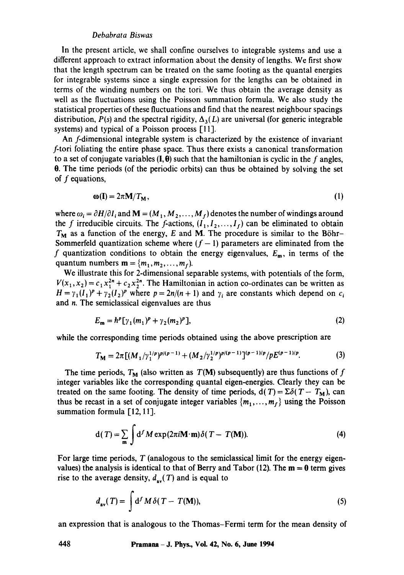#### *Debabrata Biswas*

In the present article, we shall confine ourselves to integrable systems and use a different approach to extract information about the density of lengths. We first show that the length spectrum can be treated on the same footing as the quantal energies for integrable systems since a single expression for the lengths can be obtained in terms of the winding numbers on the tori. We thus obtain the average density as well as the fluctuations using the Poisson summation formula. We also study the statistical properties of these fluctuations and find that the nearest neighbour spacings distribution,  $P(s)$  and the spectral rigidity,  $\Delta_3(L)$  are universal (for generic integrable systems) and typical of a Poisson process [11].

An f-dimensional integrable system is characterized by the existence of invariant f-tori foliating the entire phase space. Thus there exists a canonical transformation to a set of conjugate variables  $(I, \theta)$  such that the hamiltonian is cyclic in the f angles, 0. The time periods (of the periodic orbits) can thus be obtained by solving the set of f equations,

$$
\omega(I) = 2\pi M/T_M, \tag{1}
$$

where  $\omega_i = \partial H/\partial I_i$  and  $\mathbf{M} = (M_1, M_2, \dots, M_f)$  denotes the number of windings around the f irreducible circuits. The f-actions,  $(I_1, I_2, \ldots, I_f)$  can be eliminated to obtain  $T_M$  as a function of the energy, E and M. The procedure is similar to the Böhr-Sommerfeld quantization scheme where  $(f - 1)$  parameters are eliminated from the f quantization conditions to obtain the energy eigenvalues,  $E_m$ , in terms of the quantum numbers  $\mathbf{m} = \{m_1, m_2, \ldots, m_r\}$ .

We illustrate this for 2-dimensional separable systems, with potentials of the form,  $V(x_1, x_2) = c_1 x_1^{2n} + c_2 x_2^{2n}$ . The Hamiltonian in action co-ordinates can be written as  $H = \gamma_1(I_1)^p + \gamma_2(I_2)^p$  where  $p = 2n/(n + 1)$  and  $\gamma_i$  are constants which depend on  $c_i$ and n. The semiclassical eigenvalues are thus

$$
E_{\mathbf{m}} = \hbar^p [\gamma_1(m_1)^p + \gamma_2(m_2)^p], \tag{2}
$$

while the corresponding time periods obtained using the above prescription are

$$
T_{\mathbf{M}} = 2\pi \left[ (M_1/\gamma_1^{1/p})^{p/(p-1)} + (M_2/\gamma_2^{1/p})^{p/(p-1)} \right]^{(p-1)/p} / pE^{(p-1)/p}.
$$
 (3)

The time periods,  $T_M$  (also written as  $T(M)$  subsequently) are thus functions of f integer variables like the corresponding quantal eigen-energies. Clearly they can be treated on the same footing. The density of time periods,  $d(T) = \sum \delta(T - T_M)$ , can thus be recast in a set of conjugate integer variables  $\{m_1, \ldots, m_r\}$  using the Poisson summation formula  $[12, 11]$ .

$$
d(T) = \sum_{m} \int d^{f} M \exp(2\pi i \mathbf{M} \cdot \mathbf{m}) \delta(T - T(\mathbf{M})).
$$
 (4)

For large time periods,  $T$  (analogous to the semiclassical limit for the energy eigenvalues) the analysis is identical to that of Berry and Tabor (12). The  $m = 0$  term gives rise to the average density,  $d_{av}(T)$  and is equal to

$$
d_{\rm av}(T) = \int \mathrm{d}^f M \,\delta(T - T(\mathbf{M})),\tag{5}
$$

an expression that is analogous to the Thomas-Fermi term for the mean density of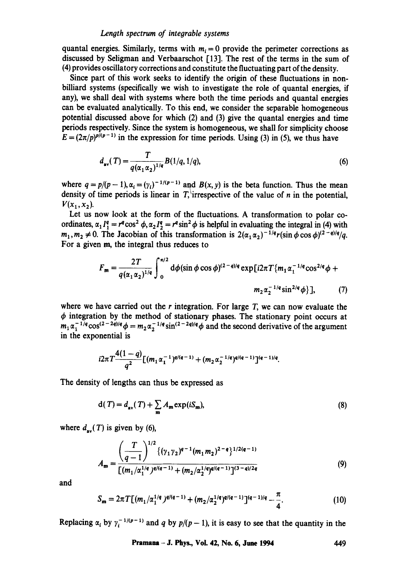#### *Length spectrum of inteyrable systems*

quantal energies. Similarly, terms with  $m<sub>i</sub> = 0$  provide the perimeter corrections as discussed by Seligman and Vcrbaarschot [13]. The rest of the terms in the sum of (4) provides oscillatory corrections and constitute the fluctuating part of the density.

Since part of this work seeks to identify the origin of these fluctuations in nonbilliard systems (specifically we wish to investigate the role of quantal energies, if any), we shall deal with systems where both the time periods and quantal energies can be evaluated analytically. To this end, we consider the separable homogeneous potential discussed above for which (2) and (3) give the quantal energies and time periods respectively. Since the system is homogeneous, we shall for simplicity choose  $E = (2\pi/p)^{p/(p-1)}$  in the expression for time periods. Using (3) in (5), we thus have

$$
d_{av}(T) = \frac{T}{q(\alpha_1 \alpha_2)^{1/q}} B(1/q, 1/q),
$$
\n(6)

where  $q = p/(p-1)$ ,  $\alpha_i = (\gamma_i)^{-1/(p-1)}$  and  $B(x, y)$  is the beta function. Thus the mean density of time periods is linear in T, irrespective of the value of n in the potential,  $V(x_1, x_2)$ .

Let us now look at the form of the fluctuations. A transformation to polar coordinates,  $\alpha_1 I_1^q = r^q \cos^2 \phi$ ,  $\alpha_2 I_2^q = r^q \sin^2 \phi$  is helpful in evaluating the integral in (4) with  $m_1, m_2 \neq 0$ . The Jacobian of this transformation is  $2(\alpha_1 \alpha_2)^{-1/q} r(\sin \phi \cos \phi)^{(2-q)/q}/q$ . For a given m, the integral thus reduces to

$$
F_{\mathbf{m}} = \frac{2T}{q(\alpha_1 \alpha_2)^{1/q}} \int_0^{\pi/2} d\phi (\sin \phi \cos \phi)^{(2-q)/q} \exp\left[i2\pi T \{m_1 \alpha_1^{-1/q} \cos^{2/q} \phi + m_2 \alpha_2^{-1/q} \sin^{2/q} \phi\}\right],\tag{7}
$$

where we have carried out the r integration. For large  $T$ , we can now evaluate the  $\phi$  integration by the method of stationary phases. The stationary point occurs at  $m_1 \alpha_1^{-1/q} \cos^{(2-2q)/q} \phi = m_2 \alpha_2^{-1/q} \sin^{(2-2q)/q} \phi$  and the second derivative of the argument in the exponential is

$$
i2\pi T \frac{4(1-q)}{q^2} [(m_1\alpha_1^{-1})^{q/(q-1)} + (m_2\alpha_2^{-1/q})^{q/(q-1)}]^{(q-1)/q}.
$$

The density of lengths can thus be expressed as

$$
d(T) = d_{av}(T) + \sum_{m} A_m \exp(iS_m),
$$
\n(8)

where  $d_{av}(T)$  is given by (6),

$$
A_{\mathbf{m}} = \frac{\left(\frac{T}{q-1}\right)^{1/2} \left\{ (\gamma_1 \gamma_2)^{q-1} (m_1 m_2)^{2-q} \right\}^{1/2(q-1)}}{\left[ (m_1/\alpha_1^{1/q})^{q/(q-1)} + (m_2/\alpha_2^{1/q})^{q/(q-1)} \right]^{(3-q)/2q}}
$$
(9)

and

$$
S_{\mathbf{m}} = 2\pi T [(m_1/\alpha_1^{1/q})^{q/(q-1)} + (m_2/\alpha_2^{1/q})^{q/(q-1)}]^{(q-1)/q} - \frac{\pi}{4}.
$$
 (10)

Replacing  $\alpha_i$  by  $\gamma_i^{-1/(p-1)}$  and q by  $p/(p-1)$ , it is easy to see that the quantity in the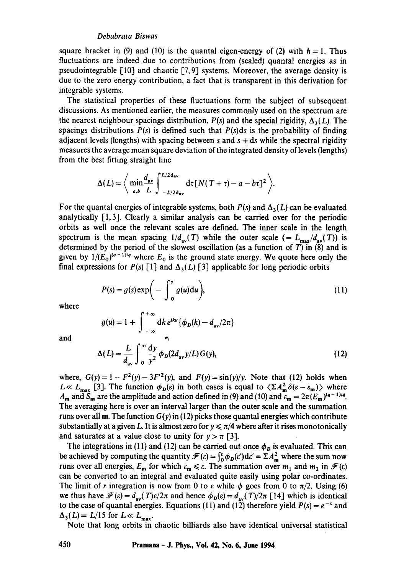#### *Debabrata Biswas*

square bracket in (9) and (10) is the quantal eigen-energy of (2) with  $h = 1$ . Thus fluctuations are indeed due to contributions from (scaled) quantal energies as in pseudointegrable [10] and chaotic [7,9] systems. Moreover, the average density is due to the zero energy contribution, a fact that is transparent in this derivation for integrable systems.

The statistical properties of these fluctuations form the subject of subsequent discussions. As mentioned earlier, the measures commonly used on the spectrum are the nearest neighbour spacings distribution,  $P(s)$  and the special rigidity,  $\Delta_3(L)$ . The spacings distributions  $P(s)$  is defined such that  $P(s)ds$  is the probability of finding adjacent levels (lengths) with spacing between s and  $s + ds$  while the spectral rigidity measures the average mean square deviation of the integrated density of levels (lengths) from the best fitting straight line

$$
\Delta(L) = \left\langle \min_{a,b} \frac{d_{av}}{L} \int_{-L/2 \, \text{d}av}^{L/2 \, \text{d}av} \, \text{d} \tau \left[ N(T + \tau) - a - b \tau \right]^2 \right\rangle.
$$

For the quantal energies of integrable systems, both  $P(s)$  and  $\Delta_3(L)$  can be evaluated analytically  $\lceil 1, 3 \rceil$ . Clearly a similar analysis can be carried over for the periodic orbits as well once the relevant scales are defined. The inner scale in the length spectrum is the mean spacing  $1/d_{av}(T)$  while the outer scale (=  $L_{max}/d_{av}(T)$ ) is determined by the period of the slowest oscillation (as a function of  $T$ ) in (8) and is given by  $1/(E_0)^{(q-1)/q}$  where  $E_0$  is the ground state energy. We quote here only the final expressions for  $P(s)$  [1] and  $\Delta_3(L)$  [3] applicable for long periodic orbits

$$
P(s) = g(s) \exp\bigg(-\int_0^s g(u) \mathrm{d}u\bigg),\tag{11}
$$

where

$$
g(u) = 1 + \int_{-\infty}^{+\infty} dk \, e^{iku} \{ \phi_D(k) - d_{av}/2\pi \}
$$

$$
\Delta(L) = \frac{L}{d_{\text{av}}} \int_0^\infty \frac{\mathrm{d}y}{y^2} \phi_D(2d_{\text{av}}y/L) G(y), \tag{12}
$$

where,  $G(y) = 1 - F^2(y) - 3F'^2(y)$ , and  $F(y) = \frac{\sin(y)}{y}$ . Note that (12) holds when  $L \ll L_{\text{max}}$  [3]. The function  $\phi_D(\varepsilon)$  in both cases is equal to  $\langle \Sigma A_{\text{m}}^2 \delta(\varepsilon - \varepsilon_{\text{m}}) \rangle$  where  $A_m$  and  $S_m$  are the amplitude and action defined in (9) and (10) and  $\varepsilon_m = 2\pi (E_m)^{(q-1)/q}$ . The averaging here is over an interval larger than the outer scale and the summation runs over all **m**. The function  $G(y)$  in (12) picks those quantal energies which contribute substantially at a given L. It is almost zero for  $y \le \pi/4$  where after it rises monotonically and saturates at a value close to unity for  $y > \pi$  [3].

The integrations in (11) and (12) can be carried out once  $\phi_D$  is evaluated. This can be achieved by computing the quantity  $\mathcal{F}(\varepsilon) = \int_0^{\varepsilon} \phi_D(\varepsilon') d\varepsilon' = \Sigma A_m^2$  where the sum now runs over all energies,  $E_m$  for which  $\varepsilon_m \leq \varepsilon$ . The summation over  $m_1$  and  $m_2$  in  $\mathcal{F}(\varepsilon)$ can be converted to an integral and evaluated quite easily using polar co-ordinates. The limit of r integration is now from 0 to  $\varepsilon$  while  $\phi$  goes from 0 to  $\pi/2$ . Using (6) we thus have  $\mathcal{F}(\varepsilon) = d_{av}(T)\varepsilon/2\pi$  and hence  $\phi_D(\varepsilon) = d_{av}(T)/2\pi$  [14] which is identical to the case of quantal energies. Equations (11) and (12) therefore yield  $P(s) = e^{-s}$  and  $\Delta_3(L) = L/15$  for  $L \ll L_{\text{max}}$ .

Note that long orbits in chaotic billiards also have identical universal statistical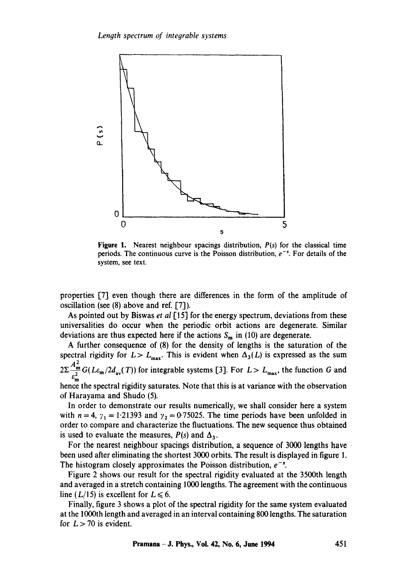

**Figure** 1. Nearest neighbour spacings distribution, *P(s)* for the classical time periods. The continuous curve is the Poisson distribution,  $e^{-s}$ . For details of the system, see text.

properties [7] even though there are differences in the form of the amplitude of oscillation (see  $(8)$  above and ref. [7]).

As pointed out by Biswas *et al* [15] for the energy spectrum, deviations from these universalities do occur when the periodic orbit actions are degenerate. Similar deviations are thus expected here if the actions  $S_m$  in (10) are degenerate.

A further consequence of (8) for the density of lengths is the saturation of the spectral rigidity for  $L > L_{\text{max}}$ . This is evident when  $\Delta_3(L)$  is expressed as the sum  $2\Sigma \frac{A_m^2}{r} G(L\varepsilon_m/2d_{av}(T))$  for integrable systems [3]. For  $L > L_{max}$ , the function G and  $e_{\mathbf{m}}$ hence the spectral rigidity saturates. Note that this is at variance with the observation of Harayama and Shudo (5).

In order to demonstrate our results numerically, we shall consider here a system with  $n = 4$ ,  $\gamma_1 = 1.21393$  and  $\gamma_2 = 0.75025$ . The time periods have been unfolded in order to compare and characterize the fluctuations. The new sequence thus obtained is used to evaluate the measures,  $P(s)$  and  $\Delta_3$ .

For the nearest neighbour spacings distribution, a sequence of 3000 lengths have been used after eliminating the shortest 3000 orbits. The result is displayed in figure 1. The histogram closely approximates the Poisson distribution,  $e^{-s}$ .

Figure 2 shows our result for the spectral rigidity evaluated at the 3500th length and averaged in a stretch containing 1000 lengths. The agreement with the continuous line ( $L/15$ ) is excellent for  $L \le 6$ .

Finally, figure 3 shows a plot of the spectral rigidity for the same system evaluated at the 1000th length and averaged in an interval containing 800 lengths. The saturation for  $L > 70$  is evident.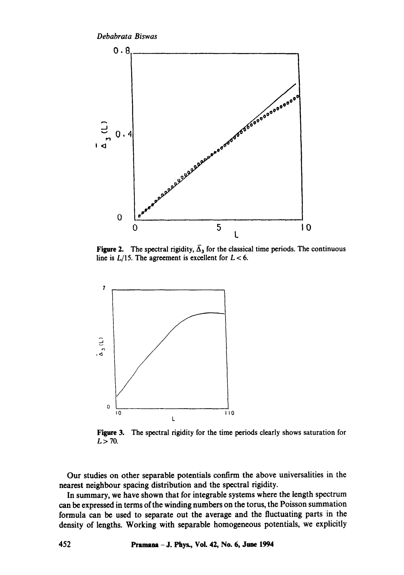*Debabrata Biswas* 



Figure 2. The spectral rigidity,  $\overline{\Delta}_3$  for the classical time periods. The continuous line is  $L/15$ . The agreement is excellent for  $L < 6$ .



Figure 3. The spectral rigidity for the time periods clearly shows saturation for  $L > 70$ .

Our studies on other separable potentials confirm the above universalities in the nearest neighbour spacing distribution and the spectral rigidity.

In summary, we have shown that for integrable systems where the length spectrum can be expressed in terms of the winding numbers on the torus, the Poisson summation formula can be used to separate out the average and the fluctuating parts in the density of lengths. Working with separable homogeneous potentials, we explicitly